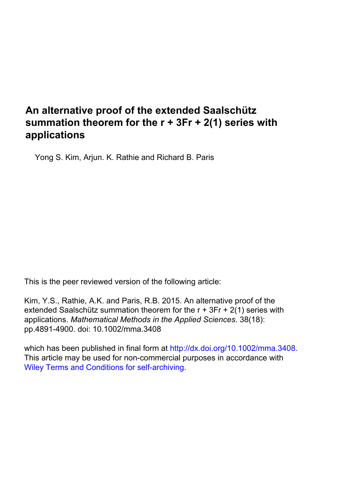# **An alternative proof of the extended Saalschütz summation theorem for the r + 3Fr + 2(1) series with applications**

Yong S. Kim, Arjun. K. Rathie and Richard B. Paris

This is the peer reviewed version of the following article:

Kim, Y.S., Rathie, A.K. and Paris, R.B. 2015. An alternative proof of the extended Saalschütz summation theorem for the r + 3Fr + 2(1) series with applications. *Mathematical Methods in the Applied Sciences*. 38(18): pp.4891-4900. doi: 10.1002/mma.3408

which has been published in final form at<http://dx.doi.org/10.1002/mma.3408>. This article may be used for non-commercial purposes in accordance with [Wiley Terms and Conditions for self-archiving.](http://olabout.wiley.com/WileyCDA/Section/id-820227.html)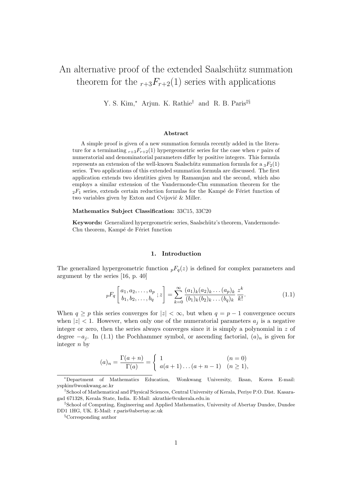## An alternative proof of the extended Saalschütz summation theorem for the  $r+3F_{r+2}(1)$  series with applications

Y. S. Kim,<sup>∗</sup> Arjun. K. Rathie† and R. B. Paris‡§

#### Abstract

A simple proof is given of a new summation formula recently added in the literature for a terminating  $r+3F_{r+2}(1)$  hypergeometric series for the case when r pairs of numeratorial and denominatorial parameters differ by positive integers. This formula represents an extension of the well-known Saalschütz summation formula for a  ${}_{3}F_2(1)$ series. Two applications of this extended summation formula are discussed. The first application extends two identities given by Ramanujan and the second, which also employs a similar extension of the Vandermonde-Chu summation theorem for the  $2F_1$  series, extends certain reduction formulas for the Kampé de Fériet function of two variables given by Exton and Cvijović  $\&$  Miller.

#### Mathematics Subject Classification: 33C15, 33C20

Keywords: Generalized hypergeometric series, Saalschütz's theorem, Vandermonde-Chu theorem, Kampé de Fériet function

#### 1. Introduction

The generalized hypergeometric function  ${}_{p}F_{q}(z)$  is defined for complex parameters and argument by the series [16, p. 40]

$$
{}_pF_q\left[\begin{matrix}a_1, a_2, \dots, a_p \\ b_1, b_2, \dots, b_q \end{matrix}; z\right] = \sum_{k=0}^{\infty} \frac{(a_1)_k (a_2)_k \dots (a_p)_k}{(b_1)_k (b_2)_k \dots (b_q)_k} \frac{z^k}{k!}.
$$
(1.1)

When  $q \geq p$  this series converges for  $|z| < \infty$ , but when  $q = p - 1$  convergence occurs when  $|z|$  < 1. However, when only one of the numeratorial parameters  $a_i$  is a negative integer or zero, then the series always converges since it is simply a polynomial in  $z$  of degree  $-a_i$ . In (1.1) the Pochhammer symbol, or ascending factorial,  $(a)_n$  is given for integer n by

$$
(a)_n = \frac{\Gamma(a+n)}{\Gamma(a)} = \begin{cases} 1 & (n = 0) \\ a(a+1)\dots(a+n-1) & (n \ge 1), \end{cases}
$$

<sup>∗</sup>Department of Mathematics Education, Wonkwang University, Iksan, Korea E-mail: yspkim@wonkwang.ac.kr

<sup>†</sup>School of Mathematical and Physical Sciences, Central University of Kerala, Periye P.O. Dist. Kasaragad 671328, Kerala State, India. E-Mail: akrathie@cukerala.edu.in

<sup>‡</sup>School of Computing, Engineering and Applied Mathematics, University of Abertay Dundee, Dundee DD1 1HG, UK. E-Mail: r.paris@abertay.ac.uk

<sup>§</sup>Corresponding author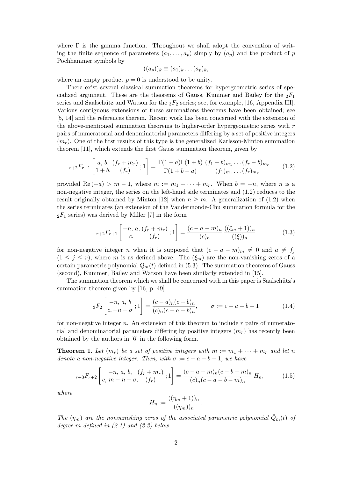where  $\Gamma$  is the gamma function. Throughout we shall adopt the convention of writing the finite sequence of parameters  $(a_1, \ldots, a_p)$  simply by  $(a_p)$  and the product of p Pochhammer symbols by

$$
((a_p))_k \equiv (a_1)_k \dots (a_p)_k,
$$

where an empty product  $p = 0$  is understood to be unity.

There exist several classical summation theorems for hypergeometric series of specialized argument. These are the theorems of Gauss, Kummer and Bailey for the  ${}_2F_1$ series and Saalschütz and Watson for the  ${}_{3}F_2$  series; see, for example, [16, Appendix III]. Various contiguous extensions of these summations theorems have been obtained; see [5, 14] and the references therein. Recent work has been concerned with the extension of the above-mentioned summation theorems to higher-order hypergeometric series with  $r$ pairs of numeratorial and denominatorial parameters differing by a set of positive integers  $(m_r)$ . One of the first results of this type is the generalized Karlsson-Minton summation theorem [11], which extends the first Gauss summation theorem, given by

$$
{}_{r+2}F_{r+1}\left[\begin{array}{cc}a, b, (f_r + m_r) \\ 1 + b, (f_r)\end{array}; 1\right] = \frac{\Gamma(1-a)\Gamma(1+b)}{\Gamma(1+b-a)} \frac{(f_1 - b)_{m_1} \dots (f_r - b)_{m_r}}{(f_1)_{m_1} \dots (f_r)_{m_r}} \qquad (1.2)
$$

provided Re  $(-a) > m - 1$ , where  $m := m_1 + \cdots + m_r$ . When  $b = -n$ , where n is a non-negative integer, the series on the left-hand side terminates and (1.2) reduces to the result originally obtained by Minton [12] when  $n \geq m$ . A generalization of (1.2) when the series terminates (an extension of the Vandermonde-Chu summation formula for the  $2F_1$  series) was derived by Miller [7] in the form

$$
{}_{r+2}F_{r+1}\left[\begin{array}{c} -n, a, (f_r + m_r) \\ c, \end{array}; 1\right] = \frac{(c - a - m)_n}{(c)_n} \frac{((\xi_m + 1))_n}{((\xi))_n} \tag{1.3}
$$

for non-negative integer n when it is supposed that  $(c - a - m)<sub>m</sub> \neq 0$  and  $a \neq f<sub>j</sub>$  $(1 \leq j \leq r)$ , where m is as defined above. The  $(\xi_m)$  are the non-vanishing zeros of a certain parametric polynomial  $Q_m(t)$  defined in (5.3). The summation theorems of Gauss (second), Kummer, Bailey and Watson have been similarly extended in [15].

The summation theorem which we shall be concerned with in this paper is Saalschütz's summation theorem given by [16, p. 49]

$$
{}_3F_2\left[\begin{array}{c} -n, a, b \\ c, -n - \sigma \end{array}; 1\right] = \frac{(c - a)_n(c - b)_n}{(c)_n(c - a - b)_n}, \qquad \sigma := c - a - b - 1 \tag{1.4}
$$

for non-negative integer  $n$ . An extension of this theorem to include  $r$  pairs of numeratorial and denominatorial parameters differing by positive integers  $(m_r)$  has recently been obtained by the authors in [6] in the following form.

**Theorem 1.** Let  $(m_r)$  be a set of positive integers with  $m := m_1 + \cdots + m_r$  and let n denote a non-negative integer. Then, with  $\sigma := c - a - b - 1$ , we have

$$
{}_{r+3}F_{r+2}\left[\begin{array}{cc} -n, a, b, (f_r + m_r) \\ c, m - n - \sigma, (f_r) \end{array}; 1\right] = \frac{(c - a - m)_n(c - b - m)_n}{(c)_n(c - a - b - m)_n} H_n,\tag{1.5}
$$

where

$$
H_n := \frac{((\eta_m + 1))_n}{((\eta_m))_n}.
$$

The  $(\eta_m)$  are the nonvanishing zeros of the associated parametric polynomial  $\hat{Q}_m(t)$  of degree m defined in  $(2.1)$  and  $(2.2)$  below.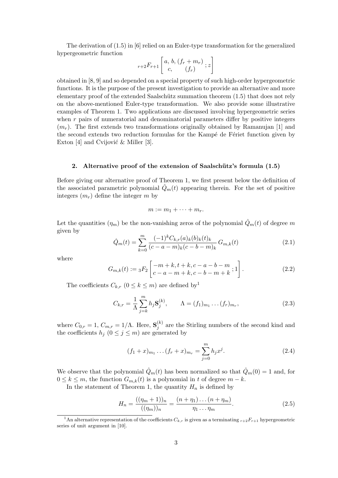The derivation of (1.5) in [6] relied on an Euler-type transformation for the generalized hypergeometric function

$$
r+2F_{r+1}\left[a, b, (f_r+m_r) \atop c, (f_r)\right]
$$

obtained in [8, 9] and so depended on a special property of such high-order hypergeometric functions. It is the purpose of the present investigation to provide an alternative and more elementary proof of the extended Saalschütz summation theorem  $(1.5)$  that does not rely on the above-mentioned Euler-type transformation. We also provide some illustrative examples of Theorem 1. Two applications are discussed involving hypergeometric series when  $r$  pairs of numeratorial and denominatorial parameters differ by positive integers  $(m_r)$ . The first extends two transformations originally obtained by Ramanujan [1] and the second extends two reduction formulas for the Kampé de Fériet function given by Exton [4] and Cvijović & Miller [3].

#### 2. Alternative proof of the extension of Saalschütz's formula  $(1.5)$

Before giving our alternative proof of Theorem 1, we first present below the definition of the associated parametric polynomial  $Q_m(t)$  appearing therein. For the set of positive integers  $(m_r)$  define the integer m by

$$
m := m_1 + \cdots + m_r.
$$

Let the quantities  $(\eta_m)$  be the non-vanishing zeros of the polynomial  $\hat{Q}_m(t)$  of degree m given by

$$
\hat{Q}_m(t) = \sum_{k=0}^m \frac{(-1)^k C_{k,r}(a)_k(b)_k(t)_k}{(c-a-m)_k(c-b-m)_k} G_{m,k}(t)
$$
\n(2.1)

where

$$
G_{m,k}(t) := {}_{3}F_{2}\left[\begin{matrix} -m+k, t+k, c-a-b-m \\ c-a-m+k, c-b-m+k \end{matrix}; 1\right].
$$
 (2.2)

The coefficients  $C_{k,r}$   $(0 \leq k \leq m)$  are defined by<sup>1</sup>

$$
C_{k,r} = \frac{1}{\Lambda} \sum_{j=k}^{m} h_j \mathbf{S}_j^{(k)}, \qquad \Lambda = (f_1)_{m_1} \dots (f_r)_{m_r},
$$
\n(2.3)

where  $C_{0,r} = 1, C_{m,r} = 1/\Lambda$ . Here,  $S_j^{(k)}$  $j^{(k)}$  are the Stirling numbers of the second kind and the coefficients  $h_j$   $(0 \le j \le m)$  are generated by

$$
(f_1 + x)_{m_1} \dots (f_r + x)_{m_r} = \sum_{j=0}^{m} h_j x^j.
$$
 (2.4)

We observe that the polynomial  $\hat{Q}_m(t)$  has been normalized so that  $\hat{Q}_m(0) = 1$  and, for  $0 \leq k \leq m$ , the function  $G_{m,k}(t)$  is a polynomial in t of degree  $m - k$ .

In the statement of Theorem 1, the quantity  $H_n$  is defined by

$$
H_n = \frac{((\eta_m + 1))_n}{((\eta_m))_n} = \frac{(n + \eta_1) \dots (n + \eta_m)}{\eta_1 \dots \eta_m}.
$$
 (2.5)

<sup>&</sup>lt;sup>1</sup>An alternative representation of the coefficients  $C_{k,r}$  is given as a terminating  $r+2F_{r+1}$  hypergeometric series of unit argument in [10].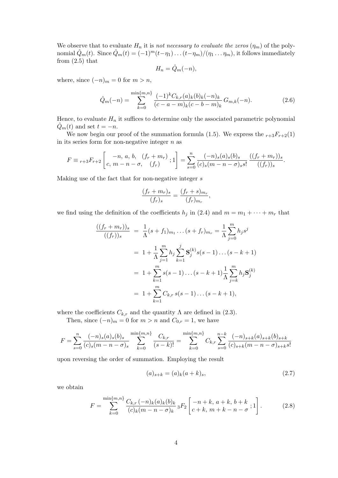We observe that to evaluate  $H_n$  it is not necessary to evaluate the zeros  $(\eta_m)$  of the polynomial  $\hat{Q}_m(t)$ . Since  $\hat{Q}_m(t) = (-1)^m(t-\eta_1)\dots(t-\eta_m)/(\eta_1 \dots \eta_m)$ , it follows immediately from  $(2.5)$  that

$$
H_n = \hat{Q}_m(-n),
$$

where, since  $(-n)_m = 0$  for  $m > n$ ,

$$
\hat{Q}_m(-n) = \sum_{k=0}^{\min\{m,n\}} \frac{(-1)^k C_{k,r}(a)_k(b)_k(-n)_k}{(c-a-m)_k(c-b-m)_k} G_{m,k}(-n).
$$
 (2.6)

Hence, to evaluate  $H_n$  it suffices to determine only the associated parametric polynomial  $\ddot{Q}_m(t)$  and set  $t = -n$ .

We now begin our proof of the summation formula (1.5). We express the  $r+3F_{r+2}(1)$ in its series form for non-negative integer  $n$  as

$$
F \equiv {}_{r+3}F_{r+2}\left[ \begin{array}{c} -n, a, b, (f_r + m_r) \\ c, m - n - \sigma, (f_r) \end{array}; 1 \right] = \sum_{s=0}^{n} \frac{(-n)_s (a)_s (b)_s}{(c)_s (m - n - \sigma)_s s!} \frac{((f_r + m_r))_s}{((f_r))_s}.
$$

Making use of the fact that for non-negative integer s

$$
\frac{(f_r+m_r)_s}{(f_r)_s}=\frac{(f_r+s)_{m_r}}{(f_r)_{m_r}},
$$

we find using the definition of the coefficients  $h_j$  in (2.4) and  $m = m_1 + \cdots + m_r$  that

$$
\frac{((f_r + m_r))_s}{((f_r))_s} = \frac{1}{\Lambda}(s + f_1)_{m_1} \dots (s + f_r)_{m_r} = \frac{1}{\Lambda} \sum_{j=0}^m h_j s^j
$$

$$
= 1 + \frac{1}{\Lambda} \sum_{j=1}^m h_j \sum_{k=1}^j \mathbf{S}_j^{(k)} s(s - 1) \dots (s - k + 1)
$$

$$
= 1 + \sum_{k=1}^m s(s - 1) \dots (s - k + 1) \frac{1}{\Lambda} \sum_{j=k}^m h_j \mathbf{S}_j^{(k)}
$$

$$
= 1 + \sum_{k=1}^m C_{k,r} s(s - 1) \dots (s - k + 1),
$$

where the coefficients  $C_{k,r}$  and the quantity  $\Lambda$  are defined in (2.3).

Then, since  $(-n)_m = 0$  for  $m > n$  and  $C_{0,r} = 1$ , we have

$$
F = \sum_{s=0}^{n} \frac{(-n)_s (a)_s (b)_s}{(c)_s (m-n-\sigma)_s} \sum_{k=0}^{\min\{m,n\}} \frac{C_{k,r}}{(s-k)!} = \sum_{k=0}^{\min\{m,n\}} C_{k,r} \sum_{s=0}^{n-k} \frac{(-n)_{s+k} (a)_{s+k} (b)_{s+k}}{(c)_{s+k} (m-n-\sigma)_{s+k} s!}
$$

upon reversing the order of summation. Employing the result

$$
(a)_{s+k} = (a)_k (a+k)_s,\t\t(2.7)
$$

we obtain

$$
F = \sum_{k=0}^{\min\{m,n\}} \frac{C_{k,r}(-n)_k(a)_k(b)_k}{(c)_k(m-n-\sigma)_k} {}_3F_2\left[-n+k, a+k, b+k \atop c+k, m+k-n-\sigma; 1\right].
$$
 (2.8)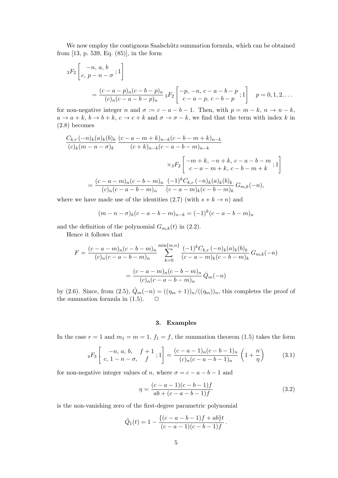We now employ the contiguous Saalschütz summation formula, which can be obtained from [13, p. 539, Eq. (85)], in the form

$$
{}_3F_2\left[ \begin{matrix} -n, a, b \\ c, p - n - \sigma \end{matrix}; 1 \right]
$$
  
= 
$$
\frac{(c - a - p)_n(c - b - p)_n}{(c)_n(c - a - b - p)_n} {}_3F_2\left[ \begin{matrix} -p, -n, c - a - b - p \\ c - a - p, c - b - p \end{matrix}; 1 \right] \quad p = 0, 1, 2, ...
$$

for non-negative integer n and  $\sigma := c - a - b - 1$ . Then, with  $p = m - k$ ,  $n \to n - k$ ,  $a \to a + k$ ,  $b \to b + k$ ,  $c \to c + k$  and  $\sigma \to \sigma - k$ , we find that the term with index k in (2.8) becomes

$$
\frac{C_{k,r}(-n)_k(a)_k(b)_k}{(c)_k(m-n-\sigma)_k} \frac{(c-a-m+k)_{n-k}(c-b-m+k)_{n-k}}{(c+k)_{n-k}(c-a-b-m)_{n-k}}
$$
  

$$
\times {}_3F_2\left[-m+k,-n+k,c-a-b-m \atop c-a-m+k,c-b-m+k;1\right]
$$
  

$$
= \frac{(c-a-m)_n(c-b-m)_n}{(c)_n(c-a-b-m)_n} \frac{(-1)^k C_{k,r}(-n)_k(a)_k(b)_k}{(c-a-m)_k(c-b-m)_k} G_{m,k}(-n),
$$

where we have made use of the identities (2.7) (with  $s + k \rightarrow n$ ) and

$$
(m - n - \sigma)_k (c - a - b - m)_{n-k} = (-1)^k (c - a - b - m)_n
$$

and the definition of the polynomial  $G_{m,k}(t)$  in (2.2).

Hence it follows that

$$
F = \frac{(c-a-m)_n(c-b-m)_n}{(c)_n(c-a-b-m)_n} \sum_{k=0}^{\min\{m,n\}} \frac{(-1)^k C_{k,r}(-n)_k(a)_k(b)_k}{(c-a-m)_k(c-b-m)_k} G_{m,k}(-n)
$$

$$
= \frac{(c-a-m)_n(c-b-m)_n}{(c)_n(c-a-b-m)_n} \hat{Q}_m(-n)
$$

by (2.6). Since, from (2.5),  $\hat{Q}_m(-n) = ((\eta_m + 1))_n/((\eta_m))_n$ , this completes the proof of the summation formula in  $(1.5)$ .  $\Box$ 

#### 3. Examples

In the case  $r = 1$  and  $m_1 = m = 1$ ,  $f_1 = f$ , the summation theorem (1.5) takes the form

$$
{}_4F_3\left[\begin{array}{cc} -n, a, b, & f+1 \\ c, & 1-n-\sigma, & f \end{array}; 1\right] = \frac{(c-a-1)_n(c-b-1)_n}{(c)_n(c-a-b-1)_n} \left(1+\frac{n}{\eta}\right) \tag{3.1}
$$

for non-negative integer values of n, where  $\sigma = c - a - b - 1$  and

$$
\eta = \frac{(c-a-1)(c-b-1)f}{ab+(c-a-b-1)f}
$$
\n(3.2)

is the non-vanishing zero of the first-degree parametric polynomial

$$
\hat{Q}_1(t) = 1 - \frac{\{(c-a-b-1)f + ab\}t}{(c-a-1)(c-b-1)f}.
$$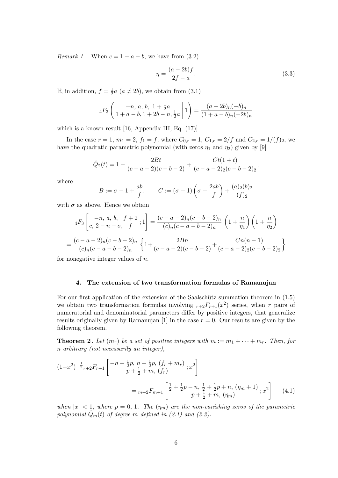Remark 1. When  $c = 1 + a - b$ , we have from (3.2)

$$
\eta = \frac{(a-2b)f}{2f-a}.\tag{3.3}
$$

If, in addition,  $f = \frac{1}{2}$  $\frac{1}{2}a$   $(a \neq 2b)$ , we obtain from  $(3.1)$ 

$$
{}_{4}F_{3}\left(\begin{array}{c} -n, a, b, 1+\frac{1}{2}a \\ 1+a-b, 1+2b-n, \frac{1}{2}a \end{array}\bigg|1\right) = \frac{(a-2b)_{n}(-b)_{n}}{(1+a-b)_{n}(-2b)_{n}}
$$

which is a known result [16, Appendix III, Eq. (17)].

In the case  $r = 1$ ,  $m_1 = 2$ ,  $f_1 = f$ , where  $C_{0,r} = 1$ ,  $C_{1,r} = 2/f$  and  $C_{2,r} = 1/(f)_2$ , we have the quadratic parametric polynomial (with zeros  $\eta_1$  and  $\eta_2$ ) given by [9]

$$
\hat{Q}_2(t) = 1 - \frac{2Bt}{(c-a-2)(c-b-2)} + \frac{Ct(1+t)}{(c-a-2)(c-b-2)}.
$$

where

$$
B := \sigma - 1 + \frac{ab}{f}, \qquad C := (\sigma - 1) \left( \sigma + \frac{2ab}{f} \right) + \frac{(a)_2(b)_2}{(f)_2}
$$

with  $\sigma$  as above. Hence we obtain

$$
{}_{4}F_{3}\left[\begin{array}{c} -n, a, b, f+2 \\ c, 2-n-\sigma, f \end{array}; 1\right] = \frac{(c-a-2)_{n}(c-b-2)_{n}}{(c)_{n}(c-a-b-2)_{n}} \left(1+\frac{n}{\eta_{1}}\right) \left(1+\frac{n}{\eta_{2}}\right)
$$

$$
= \frac{(c-a-2)_{n}(c-b-2)_{n}}{(c)_{n}(c-a-b-2)_{n}} \left\{1+\frac{2Bn}{(c-a-2)(c-b-2)}+\frac{Cn(n-1)}{(c-a-2)_{2}(c-b-2)_{2}}\right\}
$$

for nonegative integer values of  $n$ .

#### 4. The extension of two transformation formulas of Ramanujan

For our first application of the extension of the Saalschütz summation theorem in  $(1.5)$ we obtain two transformation formulas involving  $r+2F_{r+1}(x^2)$  series, when r pairs of numeratorial and denominatorial parameters differ by positive integers, that generalize results originally given by Ramanujan [1] in the case  $r = 0$ . Our results are given by the following theorem.

**Theorem 2**. Let  $(m_r)$  be a set of positive integers with  $m := m_1 + \cdots + m_r$ . Then, for n arbitrary (not necessarily an integer),

$$
(1-x^2)^{-\frac{1}{2}}r+2F_{r+1}\left[ \begin{array}{c} -n+\frac{1}{2}p, \; n+\frac{1}{2}p, \; (f_r+m_r) \\ p+\frac{1}{2}+m, \; (f_r) \end{array}; x^2 \right]
$$

$$
= {}_{m+2}F_{m+1}\left[ \begin{array}{c} \frac{1}{2} + \frac{1}{2}p - n, \; \frac{1}{2} + \frac{1}{2}p + n, \; (\eta_m+1) \\ p+\frac{1}{2} + m, \; (\eta_m) \end{array}; x^2 \right] \tag{4.1}
$$

when  $|x| < 1$ , where  $p = 0, 1$ . The  $(\eta_m)$  are the non-vanishing zeros of the parametric polynomial  $\hat{Q}_m(t)$  of degree m defined in (2.1) and (2.2).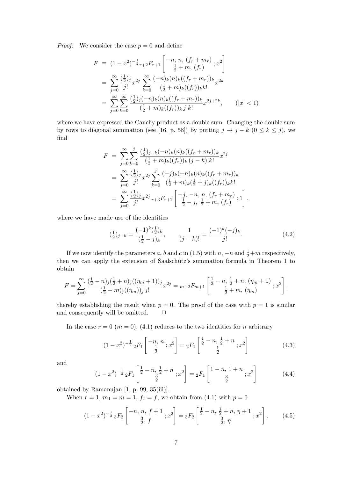*Proof:* We consider the case  $p = 0$  and define

$$
F \equiv (1 - x^2)^{-\frac{1}{2}} r_{+2} F_{r+1} \left[ \begin{array}{c} -n, n, (f_r + m_r) \\ \frac{1}{2} + m, (f_r) \end{array} ; x^2 \right]
$$
  
\n
$$
= \sum_{j=0}^{\infty} \frac{(\frac{1}{2})j}{j!} x^{2j} \sum_{k=0}^{\infty} \frac{(-n)_k (n)_k ((f_r + m_r))_k}{(\frac{1}{2} + m)_k ((f_r))_k k!} x^{2k}
$$
  
\n
$$
= \sum_{j=0}^{\infty} \sum_{k=0}^{\infty} \frac{(\frac{1}{2})_j (-n)_k (n)_k ((f_r + m_r))_k}{(\frac{1}{2} + m)_k ((f_r))_k j! k!} x^{2j+2k}, \qquad (|x| < 1)
$$

where we have expressed the Cauchy product as a double sum. Changing the double sum by rows to diagonal summation (see [16, p. 58]) by putting  $j \to j - k$  ( $0 \le k \le j$ ), we find

$$
F = \sum_{j=0}^{\infty} \sum_{k=0}^{j} \frac{\left(\frac{1}{2}\right)_{j-k}(-n)_k(n)_k((f_r + m_r))_k}{\left(\frac{1}{2} + m\right)_k((f_r))_k(j-k)!k!} x^{2j}
$$
  
\n
$$
= \sum_{j=0}^{\infty} \frac{\left(\frac{1}{2}\right)_{j}}{j!} x^{2j} \sum_{k=0}^{j} \frac{(-j)_k(-n)_k(n)_k((f_r + m_r))_k}{\left(\frac{1}{2} + m\right)_k\left(\frac{1}{2} + j\right)_k((f_r))_k k!}
$$
  
\n
$$
= \sum_{j=0}^{\infty} \frac{\left(\frac{1}{2}\right)_{j}}{j!} x^{2j} r + 3F_{r+2} \left[ \frac{-j}{\frac{1}{2}} - j, \frac{1}{2} + m, (f_r) ; 1 \right],
$$

where we have made use of the identities

$$
\left(\frac{1}{2}\right)_{j-k} = \frac{(-1)^k \left(\frac{1}{2}\right)_k}{\left(\frac{1}{2} - j\right)_k}, \qquad \frac{1}{(j-k)!} = \frac{(-1)^k (-j)_k}{j!}.
$$
\n(4.2)

If we now identify the parameters a, b and c in (1.5) with  $n, -n$  and  $\frac{1}{2} + m$  respectively, then we can apply the extension of Saalschütz's summation formula in Theorem 1 to obtain

$$
F = \sum_{j=0}^{\infty} \frac{\left(\frac{1}{2} - n\right)_{j} \left(\frac{1}{2} + n\right)_{j} \left((\eta_{m} + 1)\right)_{j}}{\left(\frac{1}{2} + m\right)_{j} \left((\eta_{m})\right)_{j} j!} x^{2j} = m + 2F_{m+1} \left[ \frac{\frac{1}{2} - n, \frac{1}{2} + n, (\eta_{m} + 1)}{\frac{1}{2} + m, (\eta_{m})}; x^{2} \right],
$$

thereby establishing the result when  $p = 0$ . The proof of the case with  $p = 1$  is similar and consequently will be omitted.  $\Box$ 

In the case  $r = 0$  ( $m = 0$ ), (4.1) reduces to the two identities for n arbitrary

$$
(1-x^2)^{-\frac{1}{2}} {}_2F_1\left[\begin{array}{c} -n, n \\ \frac{1}{2} \end{array}; x^2\right] = {}_2F_1\left[\begin{array}{c} \frac{1}{2} - n, \frac{1}{2} + n \\ \frac{1}{2} \end{array}; x^2\right] \tag{4.3}
$$

and

$$
(1-x^2)^{-\frac{1}{2}} {}_2F_1\left[\frac{\frac{1}{2}-n, \frac{1}{2}+n}{\frac{3}{2}}; x^2\right] = {}_2F_1\left[\frac{1-n, 1+n}{\frac{3}{2}}; x^2\right]
$$
(4.4)

obtained by Ramanujan [1, p. 99, 35(iii)].

When  $r = 1, m_1 = m = 1, f_1 = f$ , we obtain from (4.1) with  $p = 0$ 

$$
(1-x^2)^{-\frac{1}{2}} {}_3F_2\left[\begin{array}{c} -n, n, f+1 \\ \frac{3}{2}, f \end{array}; x^2\right] = {}_3F_2\left[\begin{array}{c} \frac{1}{2}-n, \frac{1}{2}+n, \eta+1 \\ \frac{3}{2}, \eta \end{array}; x^2\right], \quad (4.5)
$$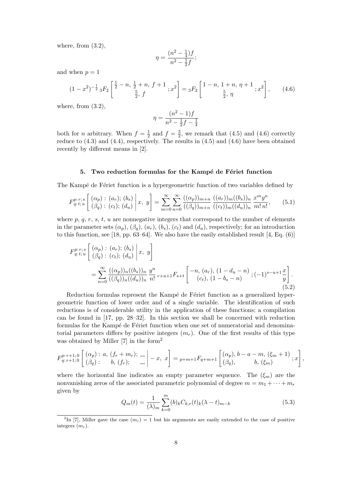where, from  $(3.2)$ ,

$$
\eta = \frac{(n^2 - \frac{1}{4})f}{n^2 - \frac{1}{2}f};
$$

and when  $p = 1$ 

$$
(1-x^2)^{-\frac{1}{2}} {}_3F_2\left[\frac{\frac{1}{2}-n,\frac{1}{2}+n,f+1}{\frac{5}{2},f};x^2\right] = {}_3F_2\left[\frac{1-n,1+n,\eta+1}{\frac{5}{2},\eta};x^2\right],\qquad(4.6)
$$

where, from  $(3.2)$ ,

$$
\eta = \frac{(n^2 - 1)f}{n^2 - \frac{1}{2}f - \frac{1}{4}}
$$

both for *n* arbitrary. When  $f = \frac{1}{2}$  $rac{1}{2}$  and  $f = \frac{3}{2}$  $\frac{3}{2}$ , we remark that (4.5) and (4.6) correctly reduce to  $(4.3)$  and  $(4.4)$ , respectively. The results in  $(4.5)$  and  $(4.6)$  have been obtained recently by different means in [2].

#### 5. Two reduction formulas for the Kampé de Fériet function

The Kampé de Fériet function is a hypergeometric function of two variables defined by

$$
F_{q:t;u}^{p:r;s}\left[\begin{array}{c}(\alpha_p):(a_r),(b_s)\\(\beta_q):(c_t),(d_u)\end{array}\bigg| x, y\right] = \sum_{m=0}^{\infty}\sum_{n=0}^{\infty}\frac{((\alpha_p))_{m+n}}{((\beta_q))_{m+n}}\frac{((a_r))_m((b_s))_n}{((c_t))_m((d_u))_n}\frac{x^m y^n}{m! n!},\qquad(5.1)
$$

where  $p, q, r, s, t, u$  are nonnegative integers that correspond to the number of elements in the parameter sets  $(\alpha_p)$ ,  $(\beta_q)$ ,  $(\alpha_r)$ ,  $(b_s)$ ,  $(c_t)$  and  $(d_u)$ , respectively; for an introduction to this function, see [18, pp. 63–64]. We also have the easily established result [4, Eq. (6)]

$$
F_{q:t;u}^{p:r;s}\left[\begin{array}{c}(\alpha_p) : (a_r); (b_s) \ (c_t); (d_u)\end{array}\bigg|x, y\right]
$$
  
= 
$$
\sum_{n=0}^{\infty} \frac{((\alpha_p))_n((b_s))_n}{((\beta_q))_n((d_u))_n} \frac{y^n}{n!} r+u+1} F_{s+t}\left[-n, (a_r), (1-d_u-n) \ (c_t); (1-b_s-n) \right]; (-1)^{s-u+1} \frac{x}{y}\right].
$$
  
(5.2)

Reduction formulas represent the Kampé de Fériet function as a generalized hypergeometric function of lower order and of a single variable. The identification of such reductions is of considerable utility in the application of these functions; a compilation can be found in [17, pp. 28–32]. In this section we shall be concerned with reduction formulas for the Kampé de Fériet function when one set of numeratorial and denominatorial parameters differs by positive integers  $(m_r)$ . One of the first results of this type was obtained by Miller [7] in the form<sup>2</sup>

$$
F_{q:r+1;0}^{p:r+1;0} \left[ \begin{array}{c} (\alpha_p) : a, (f_r + m_r); \\ (\beta_q) : b, (f_r); \end{array} \right] = x, \ x \bigg] = p+m+1 F_{q+m+1} \left[ \begin{array}{c} (\alpha_p), b-a-m, (\xi_m+1) \\ (\beta_q), b, (\xi_m) \end{array} ; x \right],
$$

where the horizontal line indicates an empty parameter sequence. The  $(\xi_m)$  are the nonvanishing zeros of the associated parametric polynomial of degree  $m = m_1 + \cdots + m_r$ given by

$$
Q_m(t) = \frac{1}{(\lambda)_m} \sum_{k=0}^m (b)_k C_{k,r}(t)_k (\lambda - t)_{m-k}
$$
\n(5.3)

<sup>&</sup>lt;sup>2</sup>In [7], Miller gave the case  $(m_r) = 1$  but his arguments are easily extended to the case of positive integers  $(m_r)$ .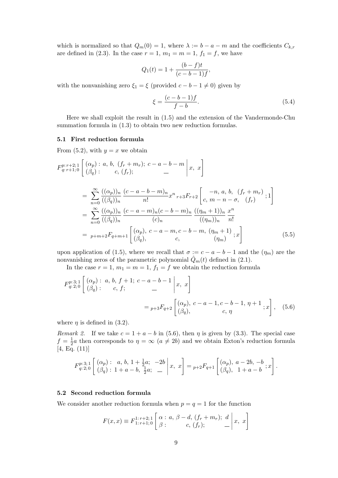which is normalized so that  $Q_m(0) = 1$ , where  $\lambda := b - a - m$  and the coefficients  $C_{k,r}$ are defined in (2.3). In the case  $r = 1$ ,  $m_1 = m = 1$ ,  $f_1 = f$ , we have

$$
Q_1(t) = 1 + \frac{(b-f)t}{(c-b-1)f},
$$

with the nonvanishing zero  $\xi_1 = \xi$  (provided  $c - b - 1 \neq 0$ ) given by

$$
\xi = \frac{(c - b - 1)f}{f - b}.\tag{5.4}
$$

Here we shall exploit the result in (1.5) and the extension of the Vandermonde-Chu summation formula in (1.3) to obtain two new reduction formulas.

#### 5.1 First reduction formula

From  $(5.2)$ , with  $y = x$  we obtain

$$
F_{q:r+1;0}^{p:r+2;1} \left[ \begin{array}{l} (\alpha_p) : a, b, (f_r + m_r); c - a - b - m \ | \ x, x \end{array} \right]
$$
  
\n
$$
= \sum_{n=0}^{\infty} \frac{((\alpha_p))_n}{((\beta_q))_n} \frac{(c - a - b - m)_n}{n!} x^n_{r+3} F_{r+2} \left[ \begin{array}{l} -n, a, b, (f_r + m_r) \ c, m - n - \sigma, (f_r) \end{array} ; 1 \right]
$$
  
\n
$$
= \sum_{n=0}^{\infty} \frac{((\alpha_p))_n}{((\beta_q))_n} \frac{(c - a - m)_n (c - b - m)_n}{(c)_n} \frac{((\eta_m + 1))_n}{((\eta_m))_n} \frac{x^n}{n!}
$$
  
\n
$$
= p + m + 2F_{q+m+1} \left[ \begin{array}{l} (\alpha_p), c - a - m, c - b - m, (\eta_m + 1) \ (\beta_q), & c, (m_m) \end{array} ; x \right]
$$
(5.5)

upon application of (1.5), where we recall that  $\sigma := c - a - b - 1$  and the  $(\eta_m)$  are the nonvanishing zeros of the parametric polynomial  $Q_m(t)$  defined in (2.1).

In the case  $r = 1$ ,  $m_1 = m = 1$ ,  $f_1 = f$  we obtain the reduction formula

$$
F_{q:2;0}^{p:3;1} \left[ \begin{array}{c} (\alpha_p): a, b, f+1; c-a-b-1 \ (\beta_q): c, f; \end{array} \right] =_{p+3} F_{q+2} \left[ \begin{array}{c} (\alpha_p), c-a-1, c-b-1, \eta+1 \ (\beta_q), \end{array} \right], (5.6)
$$

where  $\eta$  is defined in (3.2).

Remark 2. If we take  $c = 1 + a - b$  in (5.6), then  $\eta$  is given by (3.3). The special case  $f = \frac{1}{2}$  $\frac{1}{2}a$  then corresponds to  $\eta = \infty$   $(a \neq 2b)$  and we obtain Exton's reduction formula  $[4, Eq. (11)]$ 

$$
F_{q:2;0}^{p:3;1} \left[ \begin{array}{cc} (\alpha_p): & a, b, 1 + \frac{1}{2}a; & -2b \\ (\beta_q): & 1 + a - b, \frac{1}{2}a; & \end{array} \right] =_{p+2} F_{q+1} \left[ \begin{array}{cc} (\alpha_p), & a - 2b, -b \\ (\beta_q), & 1 + a - b \end{array}; x \right].
$$

#### 5.2 Second reduction formula

We consider another reduction formula when  $p = q = 1$  for the function

$$
F(x,x) \equiv F_{1:r+1;0}^{1:r+2;1} \left[ \begin{array}{c} \alpha : a, \ \beta - d, \ (f_r + m_r); \ d \\ \beta : \end{array} \right | x, \ x \bigg]
$$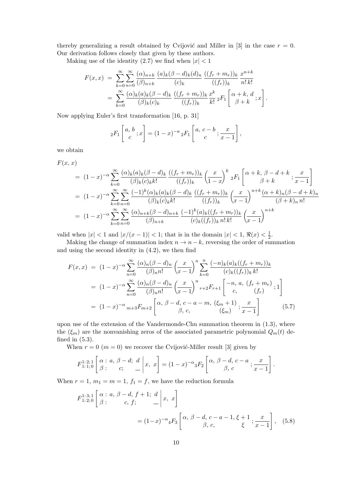thereby generalizing a result obtained by Cvijović and Miller in [3] in the case  $r = 0$ . Our derivation follows closely that given by these authors.

Making use of the identity  $(2.7)$  we find when  $|x| < 1$ 

$$
F(x,x) = \sum_{k=0}^{\infty} \sum_{n=0}^{\infty} \frac{(\alpha)_{n+k}}{(\beta)_{n+k}} \frac{(a)_k (\beta - d)_k (d)_n}{(c)_k} \frac{((f_r + m_r))_k}{((f_r))_k} \frac{x^{n+k}}{n!\,k!}
$$
  
= 
$$
\sum_{k=0}^{\infty} \frac{(\alpha)_k (a)_k (\beta - d)_k}{(\beta)_k (c)_k} \frac{((f_r + m_r))_k}{((f_r))_k} \frac{x^k}{k!} {}_2F_1 \left[ \alpha + k, d; x \right].
$$

Now applying Euler's first transformation [16, p. 31]

$$
{}_2F_1\left[\begin{array}{c} a, b \\ c \end{array}; x\right] = (1-x)^{-a} {}_2F_1\left[\begin{array}{c} a, c-b \\ c \end{array}; \frac{x}{x-1}\right],
$$

we obtain

$$
F(x, x)
$$

$$
= (1-x)^{-\alpha} \sum_{k=0}^{\infty} \frac{(\alpha)_k (a)_k (\beta - d)_k}{(\beta)_k (c)_k k!} \frac{((f_r + m_r))_k}{((f_r))_k} \left(\frac{x}{1-x}\right)^k {}_2F_1 \left[\alpha + k, \beta - d + k; \frac{x}{x-1}\right]
$$
  
\n
$$
= (1-x)^{-\alpha} \sum_{k=0}^{\infty} \sum_{n=0}^{\infty} \frac{(-1)^k (\alpha)_k (a)_k (\beta - d)_k}{(\beta)_k (c)_k k!} \frac{((f_r + m_r))_k}{((f_r))_k} \left(\frac{x}{x-1}\right)^{n+k} \frac{(\alpha + k)_n (\beta - d + k)_n}{(\beta + k)_n n!}
$$
  
\n
$$
= (1-x)^{-\alpha} \sum_{k=0}^{\infty} \sum_{n=0}^{\infty} \frac{(\alpha)_{n+k} (\beta - d)_{n+k}}{(\beta)_{n+k}} \frac{(-1)^k (a)_k ((f_r + m_r))_k}{(c)_k ((f_r))_k n! k!} \left(\frac{x}{x-1}\right)^{n+k}
$$

valid when  $|x| < 1$  and  $|x/(x-1)| < 1$ ; that is in the domain  $|x| < 1$ ,  $\Re(x) < \frac{1}{2}$  $rac{1}{2}$ .

Making the change of summation index  $n \to n - k$ , reversing the order of summation and using the second identity in (4.2), we then find

$$
F(x,x) = (1-x)^{-\alpha} \sum_{n=0}^{\infty} \frac{(\alpha)_n (\beta - d)_n}{(\beta)_n n!} \left(\frac{x}{x-1}\right)^n \sum_{k=0}^n \frac{(-n)_k (a)_k ((f_r + m_r))_k}{(c)_k ((f_r))_k k!}
$$
  

$$
= (1-x)^{-\alpha} \sum_{n=0}^{\infty} \frac{(\alpha)_n (\beta - d)_n}{(\beta)_n n!} \left(\frac{x}{x-1}\right)^n r + 2F_{r+1} \left[-n, a, (f_r + m_r) \atop c, (f_r)\right]; 1
$$
  

$$
= (1-x)^{-\alpha} m + 3F_{m+2} \left[\alpha, \beta - d, c - a - m, (\xi_m + 1) \atop \beta, c, \left(\xi_m\right)\right]; \frac{x}{x-1}
$$
(5.7)

upon use of the extension of the Vandermonde-Chu summation theorem in (1.3), where the  $(\xi_m)$  are the nonvanishing zeros of the associated parametric polynomial  $Q_m(t)$  defined in (5.3).

When  $r = 0$  ( $m = 0$ ) we recover the Cvijović-Miller result [3] given by

$$
F_{1:1;0}^{1:2;1} \left[ \begin{array}{c} \alpha : a, \beta - d; \ d \\ \beta : \end{array} \right| x, \ x \right] = (1-x)^{-\alpha} {}_{3}F_{2} \left[ \begin{array}{c} \alpha, \beta - d, \ c - a \\ \beta, \ c \end{array} ; \frac{x}{x-1} \right].
$$

When  $r = 1$ ,  $m_1 = m = 1$ ,  $f_1 = f$ , we have the reduction formula

$$
F_{1:2;0}^{1:3;1} \left[ \begin{array}{c} \alpha : a, \beta - d, f + 1; d \\ \beta : \end{array} \right| x, x
$$
  
=  $(1-x)^{-\alpha} {}_{4}F_{3} \left[ \begin{array}{c} \alpha, \beta - d, c - a - 1, \xi + 1 \\ \beta, c, \end{array} ; \frac{x}{x-1} \right], (5.8)$